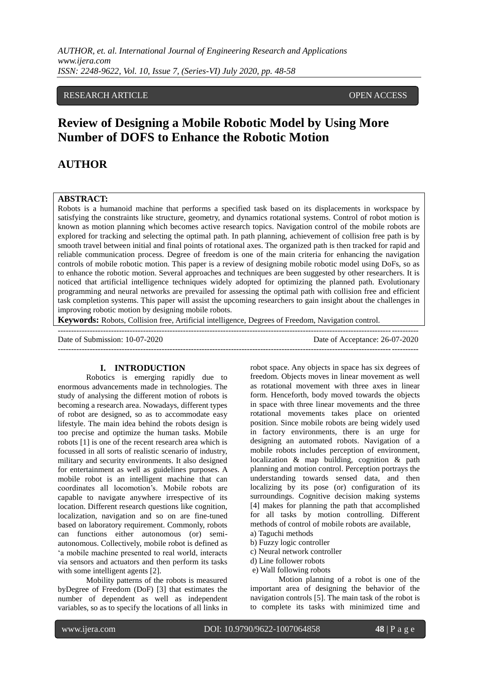#### RESEARCH ARTICLE OPEN ACCESS

# **Review of Designing a Mobile Robotic Model by Using More Number of DOFS to Enhance the Robotic Motion**

## **AUTHOR**

#### **ABSTRACT:**

Robots is a humanoid machine that performs a specified task based on its displacements in workspace by satisfying the constraints like structure, geometry, and dynamics rotational systems. Control of robot motion is known as motion planning which becomes active research topics. Navigation control of the mobile robots are explored for tracking and selecting the optimal path. In path planning, achievement of collision free path is by smooth travel between initial and final points of rotational axes. The organized path is then tracked for rapid and reliable communication process. Degree of freedom is one of the main criteria for enhancing the navigation controls of mobile robotic motion. This paper is a review of designing mobile robotic model using DoFs, so as to enhance the robotic motion. Several approaches and techniques are been suggested by other researchers. It is noticed that artificial intelligence techniques widely adopted for optimizing the planned path. Evolutionary programming and neural networks are prevailed for assessing the optimal path with collision free and efficient task completion systems. This paper will assist the upcoming researchers to gain insight about the challenges in improving robotic motion by designing mobile robots.

**Keywords:** Robots, Collision free, Artificial intelligence, Degrees of Freedom, Navigation control.

--------------------------------------------------------------------------------------------------------------------------------------- Date of Submission: 10-07-2020 Date of Acceptance: 26-07-2020 ---------------------------------------------------------------------------------------------------------------------------------------

#### **I. INTRODUCTION**

Robotics is emerging rapidly due to enormous advancements made in technologies. The study of analysing the different motion of robots is becoming a research area. Nowadays, different types of robot are designed, so as to accommodate easy lifestyle. The main idea behind the robots design is too precise and optimize the human tasks. Mobile robots [1] is one of the recent research area which is focussed in all sorts of realistic scenario of industry, military and security environments. It also designed for entertainment as well as guidelines purposes. A mobile robot is an intelligent machine that can coordinates all locomotion"s. Mobile robots are capable to navigate anywhere irrespective of its location. Different research questions like cognition, localization, navigation and so on are fine-tuned based on laboratory requirement. Commonly, robots can functions either autonomous (or) semiautonomous. Collectively, mobile robot is defined as "a mobile machine presented to real world, interacts via sensors and actuators and then perform its tasks with some intelligent agents [2].

Mobility patterns of the robots is measured byDegree of Freedom (DoF) [3] that estimates the number of dependent as well as independent variables, so as to specify the locations of all links in robot space. Any objects in space has six degrees of freedom. Objects moves in linear movement as well as rotational movement with three axes in linear form. Henceforth, body moved towards the objects in space with three linear movements and the three rotational movements takes place on oriented position. Since mobile robots are being widely used in factory environments, there is an urge for designing an automated robots. Navigation of a mobile robots includes perception of environment, localization & map building, cognition & path planning and motion control. Perception portrays the understanding towards sensed data, and then localizing by its pose (or) configuration of its surroundings. Cognitive decision making systems [4] makes for planning the path that accomplished for all tasks by motion controlling. Different methods of control of mobile robots are available,

- a) Taguchi methods
- b) Fuzzy logic controller
- c) Neural network controller
- d) Line follower robots
- e) Wall following robots

Motion planning of a robot is one of the important area of designing the behavior of the navigation controls [5]. The main task of the robot is to complete its tasks with minimized time and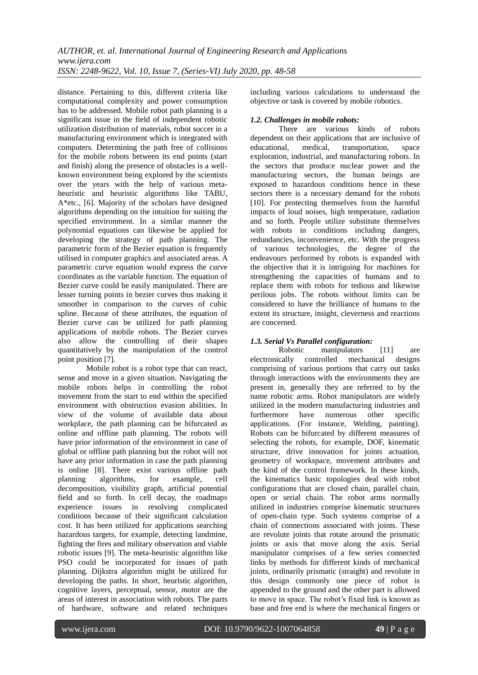distance. Pertaining to this, different criteria like computational complexity and power consumption has to be addressed. Mobile robot path planning is a significant issue in the field of independent robotic utilization distribution of materials, robot soccer in a manufacturing environment which is integrated with computers. Determining the path free of collisions for the mobile robots between its end points (start and finish) along the presence of obstacles is a wellknown environment being explored by the scientists over the years with the help of various metaheuristic and heuristic algorithms like TABU, A\*etc., [6]. Majority of the scholars have designed algorithms depending on the intuition for suiting the specified environment. In a similar manner the polynomial equations can likewise be applied for developing the strategy of path planning. The parametric form of the Bezier equation is frequently utilised in computer graphics and associated areas. A parametric curve equation would express the curve coordinates as the variable function. The equation of Bezier curve could be easily manipulated. There are lesser turning points in bezier curves thus making it smoother in comparison to the curves of cubic spline. Because of these attributes, the equation of Bezier curve can be utilized for path planning applications of mobile robots. The Bezier curves also allow the controlling of their shapes quantitatively by the manipulation of the control point position [7].

Mobile robot is a robot type that can react, sense and move in a given situation. Navigating the mobile robots helps in controlling the robot movement from the start to end within the specified environment with obstruction evasion abilities. In view of the volume of available data about workplace, the path planning can be bifurcated as online and offline path planning. The robots will have prior information of the environment in case of global or offline path planning but the robot will not have any prior information in case the path planning is online [8]. There exist various offline path planning algorithms, for example, cell decomposition, visibility graph, artificial potential field and so forth. In cell decay, the roadmaps experience issues in resolving complicated conditions because of their significant calculation cost. It has been utilized for applications searching hazardous targets, for example, detecting landmine, fighting the fires and military observation and viable robotic issues [9]. The meta-heuristic algorithm like PSO could be incorporated for issues of path planning. Dijkstra algorithm might be utilized for developing the paths. In short, heuristic algorithm, cognitive layers, perceptual, sensor, motor are the areas of interest in association with robots. The parts of hardware, software and related techniques including various calculations to understand the objective or task is covered by mobile robotics.

#### *1.2. Challenges in mobile robots:*

There are various kinds of robots dependent on their applications that are inclusive of educational, medical, transportation, space exploration, industrial, and manufacturing robots. In the sectors that produce nuclear power and the manufacturing sectors, the human beings are exposed to hazardous conditions hence in these sectors there is a necessary demand for the robots [10]. For protecting themselves from the harmful impacts of loud noises, high temperature, radiation and so forth. People utilize substitute themselves with robots in conditions including dangers, redundancies, inconvenience, etc. With the progress of various technologies, the degree of the endeavours performed by robots is expanded with the objective that it is intriguing for machines for strengthening the capacities of humans and to replace them with robots for tedious and likewise perilous jobs. The robots without limits can be considered to have the brilliance of humans to the extent its structure, insight, cleverness and reactions are concerned.

#### *1.3. Serial Vs Parallel configuration:*

Robotic manipulators [11] are electronically controlled mechanical designs comprising of various portions that carry out tasks through interactions with the environments they are present in, generally they are referred to by the name robotic arms. Robot manipulators are widely utilized in the modern manufacturing industries and furthermore have numerous other specific applications. (For instance, Welding, painting). Robots can be bifurcated by different measures of selecting the robots, for example, DOF, kinematic structure, drive innovation for joints actuation, geometry of workspace, movement attributes and the kind of the control framework. In these kinds, the kinematics basic topologies deal with robot configurations that are closed chain, parallel chain, open or serial chain. The robot arms normally utilized in industries comprise kinematic structures of open-chain type. Such systems comprise of a chain of connections associated with joints. These are revolute joints that rotate around the prismatic joints or axis that move along the axis. Serial manipulator comprises of a few series connected links by methods for different kinds of mechanical joints, ordinarily prismatic (straight) and revolute in this design commonly one piece of robot is appended to the ground and the other part is allowed to move in space. The robot's fixed link is known as base and free end is where the mechanical fingers or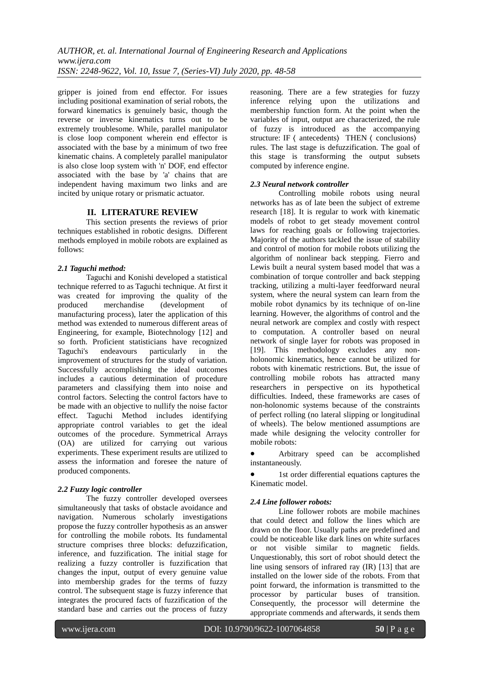gripper is joined from end effector. For issues including positional examination of serial robots, the forward kinematics is genuinely basic, though the reverse or inverse kinematics turns out to be extremely troublesome. While, parallel manipulator is close loop component wherein end effector is associated with the base by a minimum of two free kinematic chains. A completely parallel manipulator is also close loop system with 'n' DOF, end effector associated with the base by 'a' chains that are independent having maximum two links and are incited by unique rotary or prismatic actuator.

#### **II. LITERATURE REVIEW**

This section presents the reviews of prior techniques established in robotic designs. Different methods employed in mobile robots are explained as follows:

#### *2.1 Taguchi method:*

Taguchi and Konishi developed a statistical technique referred to as Taguchi technique. At first it was created for improving the quality of the produced merchandise (development of manufacturing process), later the application of this method was extended to numerous different areas of Engineering, for example, Biotechnology [12] and so forth. Proficient statisticians have recognized Taguchi's endeavours particularly in the improvement of structures for the study of variation. Successfully accomplishing the ideal outcomes includes a cautious determination of procedure parameters and classifying them into noise and control factors. Selecting the control factors have to be made with an objective to nullify the noise factor effect. Taguchi Method includes identifying appropriate control variables to get the ideal outcomes of the procedure. Symmetrical Arrays (OA) are utilized for carrying out various experiments. These experiment results are utilized to assess the information and foresee the nature of produced components.

#### *2.2 Fuzzy logic controller*

The fuzzy controller developed oversees simultaneously that tasks of obstacle avoidance and navigation. Numerous scholarly investigations propose the fuzzy controller hypothesis as an answer for controlling the mobile robots. Its fundamental structure comprises three blocks: defuzzification, inference, and fuzzification. The initial stage for realizing a fuzzy controller is fuzzification that changes the input, output of every genuine value into membership grades for the terms of fuzzy control. The subsequent stage is fuzzy inference that integrates the procured facts of fuzzification of the standard base and carries out the process of fuzzy reasoning. There are a few strategies for fuzzy inference relying upon the utilizations and membership function form. At the point when the variables of input, output are characterized, the rule of fuzzy is introduced as the accompanying structure: IF ⟨ antecedents⟩ THEN ⟨ conclusions⟩ rules. The last stage is defuzzification. The goal of this stage is transforming the output subsets computed by inference engine.

#### *2.3 Neural network controller*

Controlling mobile robots using neural networks has as of late been the subject of extreme research [18]. It is regular to work with kinematic models of robot to get steady movement control laws for reaching goals or following trajectories. Majority of the authors tackled the issue of stability and control of motion for mobile robots utilizing the algorithm of nonlinear back stepping. Fierro and Lewis built a neural system based model that was a combination of torque controller and back stepping tracking, utilizing a multi-layer feedforward neural system, where the neural system can learn from the mobile robot dynamics by its technique of on-line learning. However, the algorithms of control and the neural network are complex and costly with respect to computation. A controller based on neural network of single layer for robots was proposed in [19]. This methodology excludes any nonholonomic kinematics, hence cannot be utilized for robots with kinematic restrictions. But, the issue of controlling mobile robots has attracted many researchers in perspective on its hypothetical difficulties. Indeed, these frameworks are cases of non-holonomic systems because of the constraints of perfect rolling (no lateral slipping or longitudinal of wheels). The below mentioned assumptions are made while designing the velocity controller for mobile robots:

 Arbitrary speed can be accomplished instantaneously.

• 1st order differential equations captures the Kinematic model.

#### *2.4 Line follower robots:*

Line follower robots are mobile machines that could detect and follow the lines which are drawn on the floor. Usually paths are predefined and could be noticeable like dark lines on white surfaces or not visible similar to magnetic fields. Unquestionably, this sort of robot should detect the line using sensors of infrared ray (IR) [13] that are installed on the lower side of the robots. From that point forward, the information is transmitted to the processor by particular buses of transition. Consequently, the processor will determine the appropriate commends and afterwards, it sends them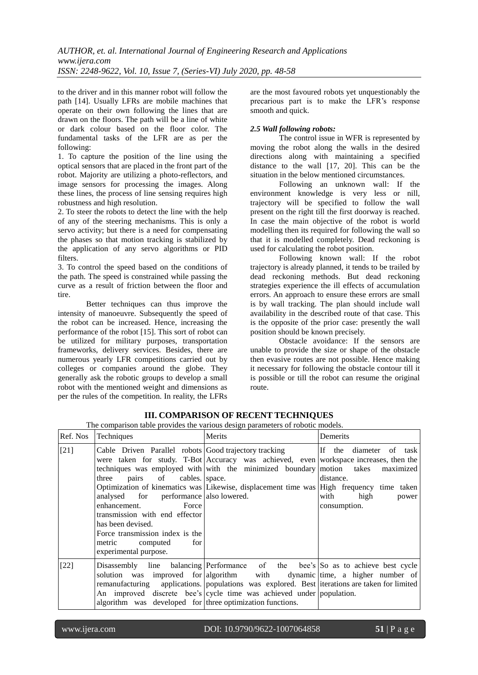to the driver and in this manner robot will follow the path [14]. Usually LFRs are mobile machines that operate on their own following the lines that are drawn on the floors. The path will be a line of white or dark colour based on the floor color. The fundamental tasks of the LFR are as per the following:

1. To capture the position of the line using the optical sensors that are placed in the front part of the robot. Majority are utilizing a photo-reflectors, and image sensors for processing the images. Along these lines, the process of line sensing requires high robustness and high resolution.

2. To steer the robots to detect the line with the help of any of the steering mechanisms. This is only a servo activity; but there is a need for compensating the phases so that motion tracking is stabilized by the application of any servo algorithms or PID filters.

3. To control the speed based on the conditions of the path. The speed is constrained while passing the curve as a result of friction between the floor and tire.

Better techniques can thus improve the intensity of manoeuvre. Subsequently the speed of the robot can be increased. Hence, increasing the performance of the robot [15]. This sort of robot can be utilized for military purposes, transportation frameworks, delivery services. Besides, there are numerous yearly LFR competitions carried out by colleges or companies around the globe. They generally ask the robotic groups to develop a small robot with the mentioned weight and dimensions as per the rules of the competition. In reality, the LFRs

are the most favoured robots yet unquestionably the precarious part is to make the LFR"s response smooth and quick.

#### *2.5 Wall following robots:*

The control issue in WFR is represented by moving the robot along the walls in the desired directions along with maintaining a specified distance to the wall [17, 20]. This can be the situation in the below mentioned circumstances.

Following an unknown wall: If the environment knowledge is very less or nill, trajectory will be specified to follow the wall present on the right till the first doorway is reached. In case the main objective of the robot is world modelling then its required for following the wall so that it is modelled completely. Dead reckoning is used for calculating the robot position.

Following known wall: If the robot trajectory is already planned, it tends to be trailed by dead reckoning methods. But dead reckoning strategies experience the ill effects of accumulation errors. An approach to ensure these errors are small is by wall tracking. The plan should include wall availability in the described route of that case. This is the opposite of the prior case: presently the wall position should be known precisely.

Obstacle avoidance: If the sensors are unable to provide the size or shape of the obstacle then evasive routes are not possible. Hence making it necessary for following the obstacle contour till it is possible or till the robot can resume the original route.

| Ref. Nos | Techniques                                                                                                                                                                                                                                       | Merits                                                                                                                                                                                                                                                                                                                                | Demerits                                                                                   |
|----------|--------------------------------------------------------------------------------------------------------------------------------------------------------------------------------------------------------------------------------------------------|---------------------------------------------------------------------------------------------------------------------------------------------------------------------------------------------------------------------------------------------------------------------------------------------------------------------------------------|--------------------------------------------------------------------------------------------|
| $[21]$   | pairs of cables. space.<br>three<br>analysed for performance also lowered.<br>enhancement.<br>Force<br>transmission with end effector<br>has been devised.<br>Force transmission index is the<br>for<br>metric computed<br>experimental purpose. | Cable Driven Parallel robots Good trajectory tracking<br>were taken for study. T-Bot Accuracy was achieved, even workspace increases, then the<br>techniques was employed with with the minimized boundary motion takes<br>Optimization of kinematics was Likewise, displacement time was High frequency time taken                   | If the diameter of task<br>maximized<br>distance.<br>with<br>high<br>power<br>consumption. |
| [22]     | algorithm was developed for three optimization functions.                                                                                                                                                                                        | Disassembly line balancing Performance of the bee's So as to achieve best cycle<br>solution was improved for algorithm with dynamic time, a higher number of<br>remanufacturing applications. populations was explored. Best iterations are taken for limited<br>An improved discrete bee's cycle time was achieved under population. |                                                                                            |

#### **III. COMPARISON OF RECENT TECHNIQUES**

The comparison table provides the various design parameters of robotic models.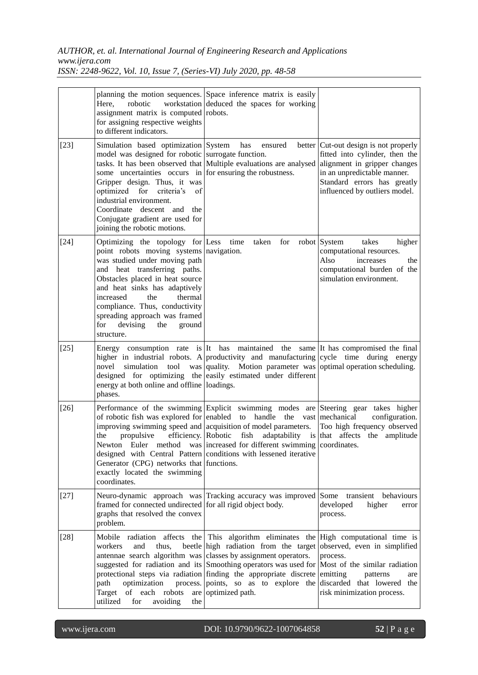## *AUTHOR, et. al. International Journal of Engineering Research and Applications www.ijera.com*

| ISSN: 2248-9622, Vol. 10, Issue 7, (Series-VI) July 2020, pp. 48-58 |  |  |  |  |  |  |
|---------------------------------------------------------------------|--|--|--|--|--|--|
|---------------------------------------------------------------------|--|--|--|--|--|--|

|        | Here,<br>robotic<br>assignment matrix is computed robots.<br>for assigning respective weights<br>to different indicators.                                                                                                                                                                                                                                            | planning the motion sequences. Space inference matrix is easily<br>workstation deduced the spaces for working                                                                                                                                                                                                                                                                                                                                                                                            |                                                                                                                                                                                                          |
|--------|----------------------------------------------------------------------------------------------------------------------------------------------------------------------------------------------------------------------------------------------------------------------------------------------------------------------------------------------------------------------|----------------------------------------------------------------------------------------------------------------------------------------------------------------------------------------------------------------------------------------------------------------------------------------------------------------------------------------------------------------------------------------------------------------------------------------------------------------------------------------------------------|----------------------------------------------------------------------------------------------------------------------------------------------------------------------------------------------------------|
| $[23]$ | Simulation based optimization System<br>model was designed for robotic surrogate function.<br>some uncertainties occurs in for ensuring the robustness.<br>Gripper design. Thus, it was<br>optimized<br>for criteria's<br>of<br>industrial environment.<br>Coordinate descent<br>and<br>the<br>Conjugate gradient are used for<br>joining the robotic motions.       | has<br>ensured<br>tasks. It has been observed that Multiple evaluations are analysed                                                                                                                                                                                                                                                                                                                                                                                                                     | better   Cut-out design is not properly<br>fitted into cylinder, then the<br>alignment in gripper changes<br>in an unpredictable manner.<br>Standard errors has greatly<br>influenced by outliers model. |
| $[24]$ | Optimizing the topology for Less<br>point robots moving systems navigation.<br>was studied under moving path<br>and heat transferring paths.<br>Obstacles placed in heat source<br>and heat sinks has adaptively<br>the<br>thermal<br>increased<br>compliance. Thus, conductivity<br>spreading approach was framed<br>for<br>devising<br>the<br>ground<br>structure. | taken<br>for<br>time                                                                                                                                                                                                                                                                                                                                                                                                                                                                                     | robot System<br>takes<br>higher<br>computational resources.<br>Also<br>increases<br>the<br>computational burden of the<br>simulation environment.                                                        |
| $[25]$ | novel<br>energy at both online and offline loadings.<br>phases.                                                                                                                                                                                                                                                                                                      | Energy consumption rate is It has maintained the same It has compromised the final<br>higher in industrial robots. A productivity and manufacturing cycle time during energy<br>simulation tool was quality. Motion parameter was optimal operation scheduling.<br>designed for optimizing the easily estimated under different                                                                                                                                                                          |                                                                                                                                                                                                          |
| $[26]$ | of robotic fish was explored for enabled to handle<br>propulsive<br>the<br>Generator (CPG) networks that functions.<br>exactly located the swimming<br>coordinates.                                                                                                                                                                                                  | Performance of the swimming Explicit swimming modes are Steering gear takes higher<br>the<br>improving swimming speed and acquisition of model parameters.<br>efficiency. Robotic fish adaptability is that affects the amplitude<br>Newton Euler method was increased for different swimming coordinates.<br>designed with Central Pattern conditions with lessened iterative                                                                                                                           | configuration.<br>vast mechanical<br>Too high frequency observed                                                                                                                                         |
| $[27]$ | framed for connected undirected for all rigid object body.<br>graphs that resolved the convex<br>problem.                                                                                                                                                                                                                                                            | Neuro-dynamic approach was Tracking accuracy was improved Some transient behaviours                                                                                                                                                                                                                                                                                                                                                                                                                      | developed<br>higher<br>error<br>process.                                                                                                                                                                 |
| $[28]$ | workers<br>and<br>thus,<br>path<br>optimization<br>Target of each robots<br>utilized<br>for<br>avoiding<br>the                                                                                                                                                                                                                                                       | Mobile radiation affects the This algorithm eliminates the High computational time is<br>beetle high radiation from the target observed, even in simplified<br>antennae search algorithm was classes by assignment operators.<br>suggested for radiation and its Smoothing operators was used for Most of the similar radiation<br>protectional steps via radiation finding the appropriate discrete emitting<br>process. points, so as to explore the discarded that lowered the<br>are optimized path. | process.<br>patterns<br>are<br>risk minimization process.                                                                                                                                                |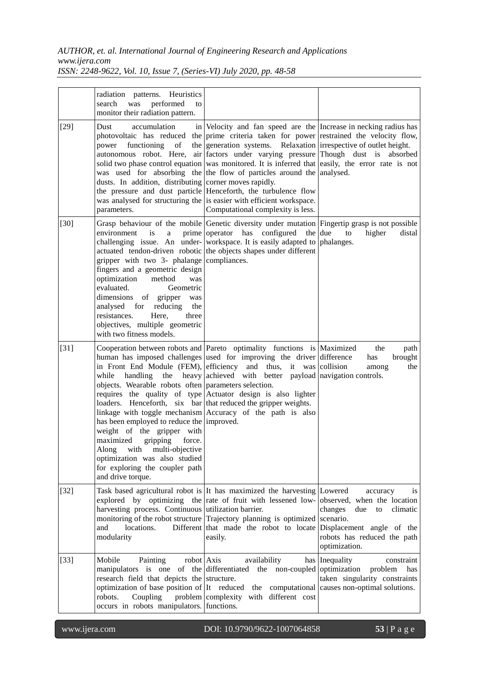|        | radiation patterns. Heuristics<br>performed<br>search<br>was<br>to<br>monitor their radiation pattern.                                                                                                                                                                                                                                  |                                                                                                                                                                                                                                                                                                                                                                                                                                                                                                                                                                                                                                                                                       |                                                                                                                                                                       |
|--------|-----------------------------------------------------------------------------------------------------------------------------------------------------------------------------------------------------------------------------------------------------------------------------------------------------------------------------------------|---------------------------------------------------------------------------------------------------------------------------------------------------------------------------------------------------------------------------------------------------------------------------------------------------------------------------------------------------------------------------------------------------------------------------------------------------------------------------------------------------------------------------------------------------------------------------------------------------------------------------------------------------------------------------------------|-----------------------------------------------------------------------------------------------------------------------------------------------------------------------|
| $[29]$ | Dust<br>accumulation<br>power functioning<br>of<br>dusts. In addition, distributing corner moves rapidly.<br>parameters.                                                                                                                                                                                                                | in Velocity and fan speed are the Increase in necking radius has<br>photovoltaic has reduced the prime criteria taken for power restrained the velocity flow,<br>the generation systems. Relaxation irrespective of outlet height.<br>autonomous robot. Here, air factors under varying pressure Though dust is absorbed<br>solid two phase control equation was monitored. It is inferred that easily, the error rate is not<br>was used for absorbing the the flow of particles around the analysed.<br>the pressure and dust particle Henceforth, the turbulence flow<br>was analysed for structuring the is easier with efficient workspace.<br>Computational complexity is less. |                                                                                                                                                                       |
| $[30]$ | environment<br>is<br>a<br>gripper with two 3- phalange compliances.<br>fingers and a geometric design<br>optimization<br>method<br>was<br>evaluated.<br>Geometric<br>dimensions of gripper<br>was<br>analysed<br>reducing<br>for<br>the<br>resistances.<br>Here,<br>three<br>objectives, multiple geometric<br>with two fitness models. | Grasp behaviour of the mobile Genetic diversity under mutation Fingertip grasp is not possible<br>prime operator has configured the due<br>challenging issue. An under- workspace. It is easily adapted to<br>actuated tendon-driven robotic the objects shapes under different                                                                                                                                                                                                                                                                                                                                                                                                       | to<br>higher<br>distal<br>phalanges.                                                                                                                                  |
| $[31]$ | while<br>handling<br>objects. Wearable robots often parameters selection.<br>has been employed to reduce the improved.<br>weight of the gripper with<br>maximized<br>gripping<br>force.<br>with multi-objective<br>Along<br>optimization was also studied<br>for exploring the coupler path<br>and drive torque.                        | Cooperation between robots and Pareto optimality functions is Maximized<br>human has imposed challenges used for improving the driver difference<br>in Front End Module (FEM), efficiency and thus, it was collision<br>the heavy achieved with better payload navigation controls.<br>requires the quality of type Actuator design is also lighter<br>loaders. Henceforth, six bar that reduced the gripper weights.<br>linkage with toggle mechanism Accuracy of the path is also                                                                                                                                                                                                   | the<br>path<br>has<br>brought<br>the<br>among                                                                                                                         |
| $[32]$ | harvesting process. Continuous utilization barrier.<br>Different<br>and<br>locations.<br>modularity                                                                                                                                                                                                                                     | Task based agricultural robot is It has maximized the harvesting Lowered<br>explored by optimizing the rate of fruit with lessened low-<br>monitoring of the robot structure Trajectory planning is optimized scenario.<br>that made the robot to locate<br>easily.                                                                                                                                                                                                                                                                                                                                                                                                                   | accuracy<br><i>is</i><br>observed, when the location<br>changes<br>due<br>to<br>climatic<br>Displacement angle of the<br>robots has reduced the path<br>optimization. |
| $[33]$ | robot Axis<br>Mobile<br>Painting<br>research field that depicts the structure.<br>Coupling<br>robots.<br>occurs in robots manipulators. functions.                                                                                                                                                                                      | availability<br>manipulators is one of the differentiated the non-coupled optimization<br>optimization of base position of It reduced the computational causes non-optimal solutions.<br>problem complexity with different cost                                                                                                                                                                                                                                                                                                                                                                                                                                                       | has   Inequality<br>constraint<br>problem<br>has<br>taken singularity constraints                                                                                     |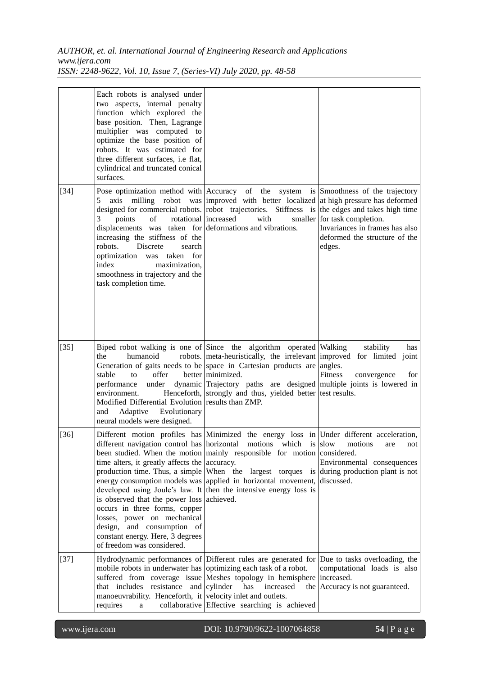|        | Each robots is analysed under<br>two aspects, internal penalty<br>function which explored the<br>base position. Then, Lagrange<br>multiplier was computed to<br>optimize the base position of<br>robots. It was estimated for<br>three different surfaces, i.e flat,<br>cylindrical and truncated conical<br>surfaces. |                                                                                                                                                                                                                                                                                                                                                                                                                                                                                                           |                                                                                                                                            |
|--------|------------------------------------------------------------------------------------------------------------------------------------------------------------------------------------------------------------------------------------------------------------------------------------------------------------------------|-----------------------------------------------------------------------------------------------------------------------------------------------------------------------------------------------------------------------------------------------------------------------------------------------------------------------------------------------------------------------------------------------------------------------------------------------------------------------------------------------------------|--------------------------------------------------------------------------------------------------------------------------------------------|
| $[34]$ | axis<br>milling<br>5<br>of<br>rotational increased<br>points<br>3<br>displacements was taken for deformations and vibrations.<br>increasing the stiffness of the<br>robots.<br>Discrete<br>search<br>optimization was taken for<br>index<br>maximization,<br>smoothness in trajectory and the<br>task completion time. | Pose optimization method with Accuracy of the system is Smoothness of the trajectory<br>robot was improved with better localized at high pressure has deformed<br>designed for commercial robots. robot trajectories. Stiffness is<br>with                                                                                                                                                                                                                                                                | the edges and takes high time<br>smaller for task completion.<br>Invariances in frames has also<br>deformed the structure of the<br>edges. |
| $[35]$ | the<br>humanoid<br>stable<br>offer<br>to<br>under<br>performance<br>environment.<br>Modified Differential Evolution results than ZMP.<br>Adaptive<br>Evolutionary<br>and<br>neural models were designed.                                                                                                               | Biped robot walking is one of Since the algorithm operated Walking<br>robots. meta-heuristically, the irrelevant improved for limited joint<br>Generation of gaits needs to be space in Cartesian products are<br>better minimized.<br>dynamic Trajectory paths are designed multiple joints is lowered in<br>Henceforth, strongly and thus, yielded better test results.                                                                                                                                 | stability<br>has<br>angles.<br>Fitness<br>for<br>convergence                                                                               |
| $[36]$ | time alters, it greatly affects the accuracy.<br>is observed that the power loss<br>occurs in three forms, copper<br>losses, power on mechanical<br>design, and consumption of<br>constant energy. Here, 3 degrees<br>of freedom was considered.                                                                       | Different motion profiles has Minimized the energy loss in Under different acceleration,<br>different navigation control has horizontal motions which is slow motions are not<br>been studied. When the motion mainly responsible for motion considered.<br>production time. Thus, a simple When the largest torques is during production plant is not<br>energy consumption models was applied in horizontal movement,<br>developed using Joule's law. It then the intensive energy loss is<br>achieved. | Environmental consequences<br>discussed.                                                                                                   |
| $[37]$ | mobile robots in underwater has optimizing each task of a robot.<br>that includes resistance and cylinder<br>manoeuvrability. Henceforth, it velocity inlet and outlets.<br>requires<br>a                                                                                                                              | Hydrodynamic performances of Different rules are generated for Due to tasks overloading, the<br>suffered from coverage issue Meshes topology in hemisphere<br>has<br>increased<br>collaborative Effective searching is achieved                                                                                                                                                                                                                                                                           | computational loads is also<br>increased.<br>the Accuracy is not guaranteed.                                                               |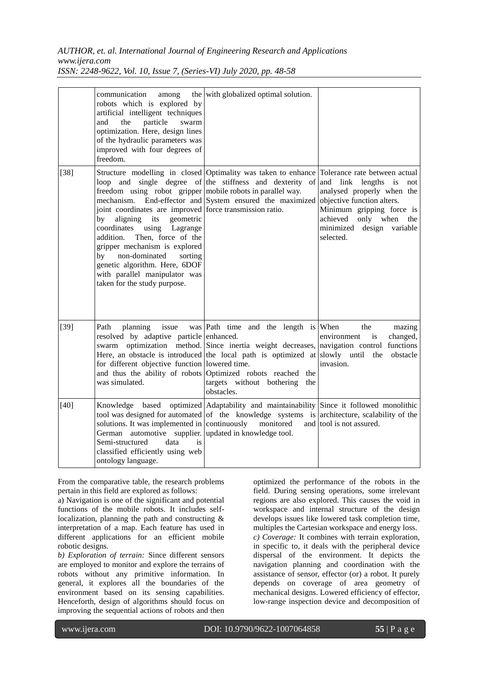|        | communication<br>among<br>robots which is explored by<br>artificial intelligent techniques<br>the<br>particle<br>swarm<br>and<br>optimization. Here, design lines<br>of the hydraulic parameters was<br>improved with four degrees of<br>freedom.                                                                                                                                                     | the with globalized optimal solution.                                                                                                                                                                                                                                                                                                 |                                                                                                                                                                                                    |
|--------|-------------------------------------------------------------------------------------------------------------------------------------------------------------------------------------------------------------------------------------------------------------------------------------------------------------------------------------------------------------------------------------------------------|---------------------------------------------------------------------------------------------------------------------------------------------------------------------------------------------------------------------------------------------------------------------------------------------------------------------------------------|----------------------------------------------------------------------------------------------------------------------------------------------------------------------------------------------------|
| $[38]$ | freedom using robot gripper mobile robots in parallel way.<br>joint coordinates are improved force transmission ratio.<br>aligning<br>geometric<br>by<br>its<br>coordinates<br>using<br>Lagrange<br>Then, force of the<br>addition.<br>gripper mechanism is explored<br>by non-dominated<br>sorting<br>genetic algorithm. Here, 6DOF<br>with parallel manipulator was<br>taken for the study purpose. | Structure modelling in closed Optimality was taken to enhance Tolerance rate between actual<br>loop and single degree of the stiffness and dexterity of and link<br>mechanism. End-effector and System ensured the maximized                                                                                                          | lengths<br>$\frac{1}{1}$<br>not<br>analysed properly when the<br>objective function alters.<br>Minimum gripping force is<br>achieved<br>only when<br>the<br>minimized design variable<br>selected. |
| $[39]$ | Path<br>planning<br>issue<br>resolved by adaptive particle enhanced.<br>for different objective function lowered time.<br>was simulated.                                                                                                                                                                                                                                                              | was $Path$ time and the length is When<br>swarm optimization method. Since inertia weight decreases, navigation control functions<br>Here, an obstacle is introduced the local path is optimized at slowly until the<br>and thus the ability of robots Optimized robots reached the<br>targets without bothering<br>the<br>obstacles. | the<br>mazing<br>changed,<br>environment<br>is<br>obstacle<br>invasion.                                                                                                                            |
| $[40]$ | solutions. It was implemented in continuously<br>German automotive supplier. updated in knowledge tool.<br>Semi-structured<br>data<br>is<br>classified efficiently using web<br>ontology language.                                                                                                                                                                                                    | Knowledge based optimized Adaptability and maintainability Since it followed monolithic<br>tool was designed for automated of the knowledge systems is architecture, scalability of the<br>monitored                                                                                                                                  | and tool is not assured.                                                                                                                                                                           |

From the comparative table, the research problems pertain in this field are explored as follows:

a) Navigation is one of the significant and potential functions of the mobile robots. It includes selflocalization, planning the path and constructing & interpretation of a map. Each feature has used in different applications for an efficient mobile robotic designs.

*b) Exploration of terrain:* Since different sensors are employed to monitor and explore the terrains of robots without any primitive information. In general, it explores all the boundaries of the environment based on its sensing capabilities. Henceforth, design of algorithms should focus on improving the sequential actions of robots and then

optimized the performance of the robots in the field. During sensing operations, some irrelevant regions are also explored. This causes the void in workspace and internal structure of the design develops issues like lowered task completion time, multiples the Cartesian workspace and energy loss. *c) Coverage:* It combines with terrain exploration, in specific to, it deals with the peripheral device dispersal of the environment. It depicts the navigation planning and coordination with the assistance of sensor, effector (or) a robot. It purely depends on coverage of area geometry of mechanical designs. Lowered efficiency of effector, low-range inspection device and decomposition of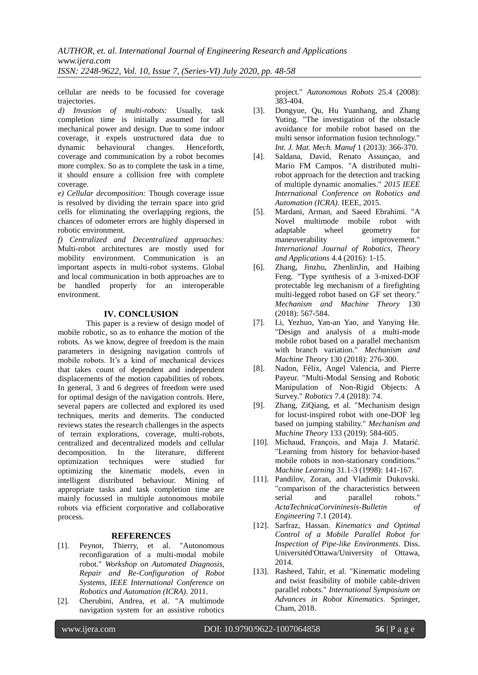cellular are needs to be focussed for coverage trajectories.

*d) Invasion of multi-robots:* Usually, task completion time is initially assumed for all mechanical power and design. Due to some indoor coverage, it expels unstructured data due to dynamic behavioural changes. Henceforth, coverage and communication by a robot becomes more complex. So as to complete the task in a time, it should ensure a collision free with complete coverage.

*e) Cellular decomposition:* Though coverage issue is resolved by dividing the terrain space into grid cells for eliminating the overlapping regions, the chances of odometer errors are highly dispersed in robotic environment.

*f) Centralized and Decentralized approaches:* Multi-robot architectures are mostly used for mobility environment. Communication is an important aspects in multi-robot systems. Global and local communication in both approaches are to be handled properly for an interoperable environment.

#### **IV. CONCLUSION**

This paper is a review of design model of mobile robotic, so as to enhance the motion of the robots. As we know, degree of freedom is the main parameters in designing navigation controls of mobile robots. It's a kind of mechanical devices that takes count of dependent and independent displacements of the motion capabilities of robots. In general, 3 and 6 degrees of freedom were used for optimal design of the navigation controls. Here, several papers are collected and explored its used techniques, merits and demerits. The conducted reviews states the research challenges in the aspects of terrain explorations, coverage, multi-robots, centralized and decentralized models and cellular decomposition. In the literature, different optimization techniques were studied for optimizing the kinematic models, even in intelligent distributed behaviour. Mining of appropriate tasks and task completion time are mainly focussed in multiple autonomous mobile robots via efficient corporative and collaborative process.

#### **REFERENCES**

- [1]. Peynot, Thierry, et al. "Autonomous reconfiguration of a multi-modal mobile robot." *Workshop on Automated Diagnosis, Repair and Re-Configuration of Robot Systems, IEEE International Conference on Robotics and Automation (ICRA)*. 2011.
- [2]. Cherubini, Andrea, et al. "A multimode navigation system for an assistive robotics

project." *Autonomous Robots* 25.4 (2008): 383-404.

- [3]. Dongyue, Qu, Hu Yuanhang, and Zhang Yuting. "The investigation of the obstacle avoidance for mobile robot based on the multi sensor information fusion technology." *Int. J. Mat. Mech. Manuf* 1 (2013): 366-370.
- [4]. Saldana, David, Renato Assunçao, and Mario FM Campos. "A distributed multirobot approach for the detection and tracking of multiple dynamic anomalies." *2015 IEEE International Conference on Robotics and Automation (ICRA)*. IEEE, 2015.
- [5]. Mardani, Arman, and Saeed Ebrahimi. "A Novel multimode mobile robot with adaptable wheel geometry for maneuverability improvement." *International Journal of Robotics, Theory and Applications* 4.4 (2016): 1-15.
- [6]. Zhang, Jinzhu, ZhenlinJin, and Haibing Feng. "Type synthesis of a 3-mixed-DOF protectable leg mechanism of a firefighting multi-legged robot based on GF set theory." *Mechanism and Machine Theory* 130 (2018): 567-584.
- [7]. Li, Yezhuo, Yan-an Yao, and Yanying He. "Design and analysis of a multi-mode mobile robot based on a parallel mechanism with branch variation." *Mechanism and Machine Theory* 130 (2018): 276-300.
- [8]. Nadon, Félix, Angel Valencia, and Pierre Payeur. "Multi-Modal Sensing and Robotic Manipulation of Non-Rigid Objects: A Survey." *Robotics* 7.4 (2018): 74.
- [9]. Zhang, ZiQiang, et al. "Mechanism design for locust-inspired robot with one-DOF leg based on jumping stability." *Mechanism and Machine Theory* 133 (2019): 584-605.
- [10]. Michaud, François, and Maja J. Matarić. "Learning from history for behavior-based mobile robots in non-stationary conditions." *Machine Learning* 31.1-3 (1998): 141-167.
- [11]. Pandilov, Zoran, and Vladimir Dukovski. "comparison of the characteristics between serial and parallel robots." *ActaTechnicaCorvininesis-Bulletin of Engineering* 7.1 (2014).
- [12]. Sarfraz, Hassan. *Kinematics and Optimal Control of a Mobile Parallel Robot for Inspection of Pipe-like Environments*. Diss. Universitéd'Ottawa/University of Ottawa, 2014.
- [13]. Rasheed, Tahir, et al. "Kinematic modeling and twist feasibility of mobile cable-driven parallel robots." *International Symposium on Advances in Robot Kinematics*. Springer, Cham, 2018.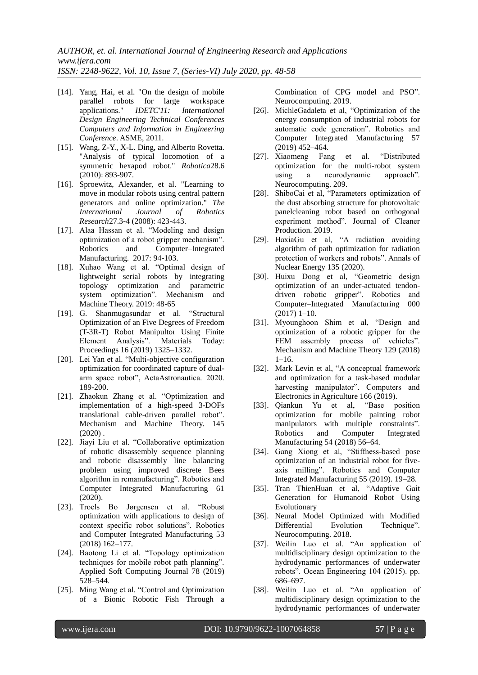- [14]. Yang, Hai, et al. "On the design of mobile parallel robots for large workspace applications." *IDETC'11: International Design Engineering Technical Conferences Computers and Information in Engineering Conference*. ASME, 2011.
- [15]. Wang, Z-Y., X-L. Ding, and Alberto Rovetta. "Analysis of typical locomotion of a symmetric hexapod robot." *Robotica*28.6 (2010): 893-907.
- [16]. Sproewitz, Alexander, et al. "Learning to move in modular robots using central pattern generators and online optimization." *The International Journal of Robotics Research*27.3-4 (2008): 423-443.
- [17]. Alaa Hassan et al. "Modeling and design optimization of a robot gripper mechanism". Robotics and Computer–Integrated Manufacturing. 2017: 94-103.
- [18]. Xuhao Wang et al. "Optimal design of lightweight serial robots by integrating topology optimization and parametric system optimization". Mechanism and Machine Theory. 2019: 48-65
- [19]. G. Shanmugasundar et al. "Structural Optimization of an Five Degrees of Freedom (T-3R-T) Robot Manipultor Using Finite Element Analysis". Materials Today: Proceedings 16 (2019) 1325–1332.
- [20]. Lei Yan et al. "Multi-objective configuration optimization for coordinated capture of dualarm space robot", ActaAstronautica. 2020. 189-200.
- [21]. Zhaokun Zhang et al. "Optimization and implementation of a high-speed 3-DOFs translational cable-driven parallel robot". Mechanism and Machine Theory. 145  $(2020)$ .
- [22]. Jiayi Liu et al. "Collaborative optimization of robotic disassembly sequence planning and robotic disassembly line balancing problem using improved discrete Bees algorithm in remanufacturing". Robotics and Computer Integrated Manufacturing 61 (2020).
- [23]. Troels Bo Jørgensen et al. "Robust optimization with applications to design of context specific robot solutions". Robotics and Computer Integrated Manufacturing 53 (2018) 162–177.
- [24]. Baotong Li et al. "Topology optimization techniques for mobile robot path planning". Applied Soft Computing Journal 78 (2019) 528–544.
- [25]. Ming Wang et al. "Control and Optimization of a Bionic Robotic Fish Through a

Combination of CPG model and PSO". Neurocomputing. 2019.

- [26]. MichleGadaleta et al, "Optimization of the energy consumption of industrial robots for automatic code generation". Robotics and Computer Integrated Manufacturing 57 (2019) 452–464.
- [27]. Xiaomeng Fang et al. "Distributed optimization for the multi-robot system using a neurodynamic approach". Neurocomputing. 209.
- [28]. ShiboCai et al, "Parameters optimization of the dust absorbing structure for photovoltaic panelcleaning robot based on orthogonal experiment method". Journal of Cleaner Production. 2019.
- [29]. HaxiaGu et al, "A radiation avoiding algorithm of path optimization for radiation protection of workers and robots". Annals of Nuclear Energy 135 (2020).
- [30]. Huixu Dong et al, "Geometric design optimization of an under-actuated tendondriven robotic gripper". Robotics and Computer–Integrated Manufacturing 000 (2017) 1–10.
- [31]. Myounghoon Shim et al, "Design and optimization of a robotic gripper for the FEM assembly process of vehicles". Mechanism and Machine Theory 129 (2018)  $1 - 16$ .
- [32]. Mark Levin et al, "A conceptual framework and optimization for a task-based modular harvesting manipulator". Computers and Electronics in Agriculture 166 (2019).
- [33]. Qiankun Yu et al, "Base position optimization for mobile painting robot manipulators with multiple constraints". Robotics and Computer Integrated Manufacturing 54 (2018) 56–64.
- [34]. Gang Xiong et al, "Stiffness-based pose optimization of an industrial robot for fiveaxis milling". Robotics and Computer Integrated Manufacturing 55 (2019). 19–28.
- [35]. Tran ThienHuan et al, "Adaptive Gait Generation for Humanoid Robot Using Evolutionary
- [36]. Neural Model Optimized with Modified Differential Evolution Technique". Neurocomputing. 2018.
- [37]. Weilin Luo et al. "An application of multidisciplinary design optimization to the hydrodynamic performances of underwater robots". Ocean Engineering 104 (2015). pp. 686–697.
- [38]. Weilin Luo et al. "An application of multidisciplinary design optimization to the hydrodynamic performances of underwater